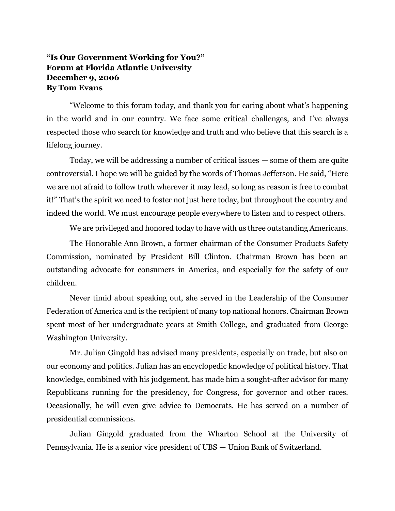## **"Is Our Government Working for You?" Forum at Florida Atlantic University December 9, 2006 By Tom Evans**

"Welcome to this forum today, and thank you for caring about what's happening in the world and in our country. We face some critical challenges, and I've always respected those who search for knowledge and truth and who believe that this search is a lifelong journey.

Today, we will be addressing a number of critical issues — some of them are quite controversial. I hope we will be guided by the words of Thomas Jefferson. He said, "Here we are not afraid to follow truth wherever it may lead, so long as reason is free to combat it!" That's the spirit we need to foster not just here today, but throughout the country and indeed the world. We must encourage people everywhere to listen and to respect others.

We are privileged and honored today to have with us three outstanding Americans.

The Honorable Ann Brown, a former chairman of the Consumer Products Safety Commission, nominated by President Bill Clinton. Chairman Brown has been an outstanding advocate for consumers in America, and especially for the safety of our children.

Never timid about speaking out, she served in the Leadership of the Consumer Federation of America and is the recipient of many top national honors. Chairman Brown spent most of her undergraduate years at Smith College, and graduated from George Washington University.

Mr. Julian Gingold has advised many presidents, especially on trade, but also on our economy and politics. Julian has an encyclopedic knowledge of political history. That knowledge, combined with his judgement, has made him a sought-after advisor for many Republicans running for the presidency, for Congress, for governor and other races. Occasionally, he will even give advice to Democrats. He has served on a number of presidential commissions.

Julian Gingold graduated from the Wharton School at the University of Pennsylvania. He is a senior vice president of UBS — Union Bank of Switzerland.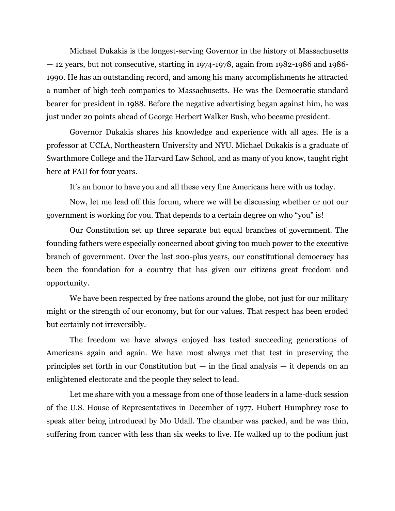Michael Dukakis is the longest-serving Governor in the history of Massachusetts  $-$  12 years, but not consecutive, starting in 1974-1978, again from 1982-1986 and 1986-1990. He has an outstanding record, and among his many accomplishments he attracted a number of high-tech companies to Massachusetts. He was the Democratic standard bearer for president in 1988. Before the negative advertising began against him, he was just under 20 points ahead of George Herbert Walker Bush, who became president.

Governor Dukakis shares his knowledge and experience with all ages. He is a professor at UCLA, Northeastern University and NYU. Michael Dukakis is a graduate of Swarthmore College and the Harvard Law School, and as many of you know, taught right here at FAU for four years.

It's an honor to have you and all these very fine Americans here with us today.

Now, let me lead off this forum, where we will be discussing whether or not our government is working for you. That depends to a certain degree on who "you" is!

Our Constitution set up three separate but equal branches of government. The founding fathers were especially concerned about giving too much power to the executive branch of government. Over the last 200-plus years, our constitutional democracy has been the foundation for a country that has given our citizens great freedom and opportunity.

We have been respected by free nations around the globe, not just for our military might or the strength of our economy, but for our values. That respect has been eroded but certainly not irreversibly.

The freedom we have always enjoyed has tested succeeding generations of Americans again and again. We have most always met that test in preserving the principles set forth in our Constitution but  $-$  in the final analysis  $-$  it depends on an enlightened electorate and the people they select to lead.

Let me share with you a message from one of those leaders in a lame-duck session of the U.S. House of Representatives in December of 1977. Hubert Humphrey rose to speak after being introduced by Mo Udall. The chamber was packed, and he was thin, suffering from cancer with less than six weeks to live. He walked up to the podium just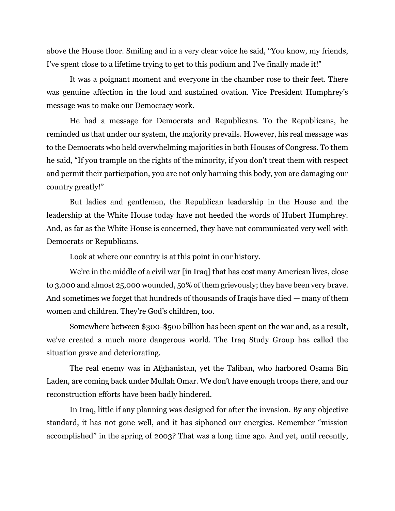above the House floor. Smiling and in a very clear voice he said, "You know, my friends, I've spent close to a lifetime trying to get to this podium and I've finally made it!"

It was a poignant moment and everyone in the chamber rose to their feet. There was genuine affection in the loud and sustained ovation. Vice President Humphrey's message was to make our Democracy work.

He had a message for Democrats and Republicans. To the Republicans, he reminded us that under our system, the majority prevails. However, his real message was to the Democrats who held overwhelming majorities in both Houses of Congress. To them he said, "If you trample on the rights of the minority, if you don't treat them with respect and permit their participation, you are not only harming this body, you are damaging our country greatly!"

But ladies and gentlemen, the Republican leadership in the House and the leadership at the White House today have not heeded the words of Hubert Humphrey. And, as far as the White House is concerned, they have not communicated very well with Democrats or Republicans.

Look at where our country is at this point in our history.

We're in the middle of a civil war [in Iraq] that has cost many American lives, close to 3,000 and almost 25,000 wounded, 50% of them grievously; they have been very brave. And sometimes we forget that hundreds of thousands of Iraqis have died — many of them women and children. They're God's children, too.

Somewhere between \$300-\$500 billion has been spent on the war and, as a result, we've created a much more dangerous world. The Iraq Study Group has called the situation grave and deteriorating.

The real enemy was in Afghanistan, yet the Taliban, who harbored Osama Bin Laden, are coming back under Mullah Omar. We don't have enough troops there, and our reconstruction efforts have been badly hindered.

In Iraq, little if any planning was designed for after the invasion. By any objective standard, it has not gone well, and it has siphoned our energies. Remember "mission accomplished" in the spring of 2003? That was a long time ago. And yet, until recently,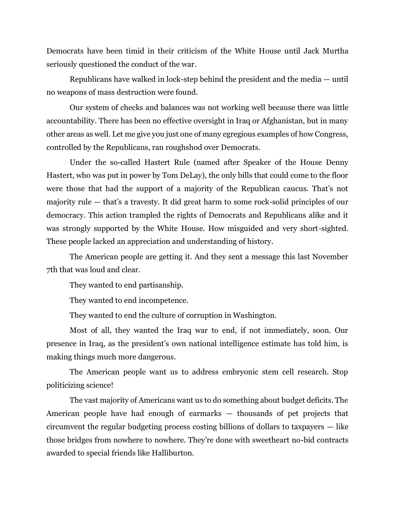Democrats have been timid in their criticism of the White House until Jack Murtha seriously questioned the conduct of the war.

Republicans have walked in lock-step behind the president and the media — until no weapons of mass destruction were found.

Our system of checks and balances was not working well because there was little accountability. There has been no effective oversight in Iraq or Afghanistan, but in many other areas as well. Let me give you just one of many egregious examples of how Congress, controlled by the Republicans, ran roughshod over Democrats.

Under the so-called Hastert Rule (named after Speaker of the House Denny Hastert, who was put in power by Tom DeLay), the only bills that could come to the floor were those that had the support of a majority of the Republican caucus. That's not majority rule — that's a travesty. It did great harm to some rock-solid principles of our democracy. This action trampled the rights of Democrats and Republicans alike and it was strongly supported by the White House. How misguided and very short-sighted. These people lacked an appreciation and understanding of history.

The American people are getting it. And they sent a message this last November 7th that was loud and clear.

They wanted to end partisanship.

They wanted to end incompetence.

They wanted to end the culture of corruption in Washington.

Most of all, they wanted the Iraq war to end, if not immediately, soon. Our presence in Iraq, as the president's own national intelligence estimate has told him, is making things much more dangerous.

The American people want us to address embryonic stem cell research. Stop politicizing science!

The vast majority of Americans want us to do something about budget deficits. The American people have had enough of earmarks — thousands of pet projects that circumvent the regular budgeting process costing billions of dollars to taxpayers — like those bridges from nowhere to nowhere. They're done with sweetheart no-bid contracts awarded to special friends like Halliburton.